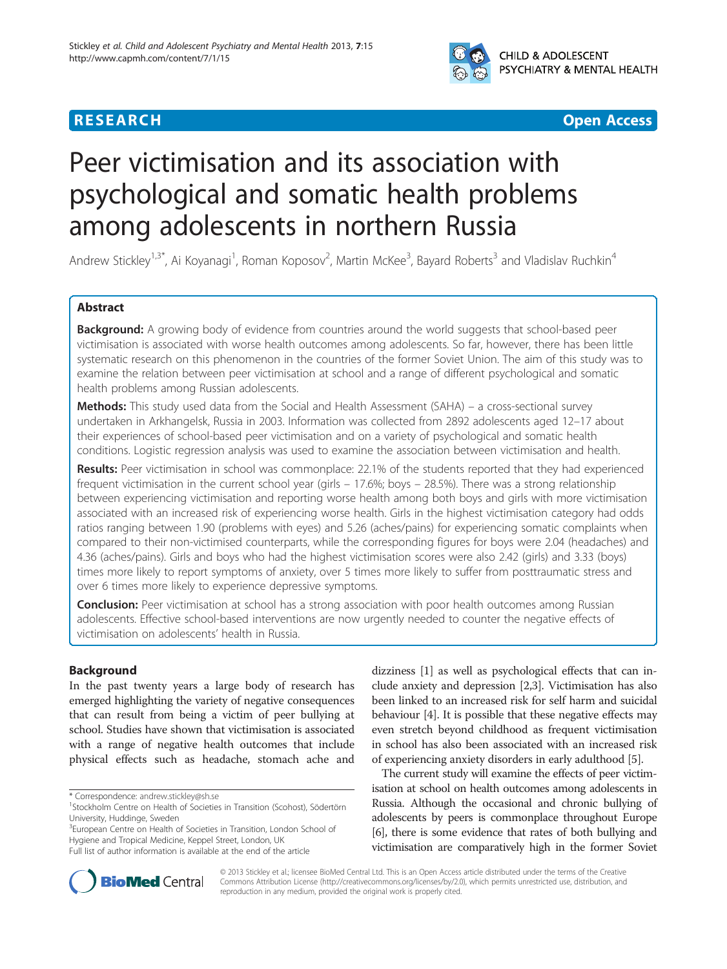

# **RESEARCH CHEAR CHEAR CHEAR CHEAR CHEAR CHEAR CHEAR CHEAR CHEAR CHEAR CHEAR CHEAR CHEAR CHEAR CHEAR CHEAR CHEAR**

# Peer victimisation and its association with psychological and somatic health problems among adolescents in northern Russia

Andrew Stickley<sup>1,3\*</sup>, Ai Koyanagi<sup>1</sup>, Roman Koposov<sup>2</sup>, Martin McKee<sup>3</sup>, Bayard Roberts<sup>3</sup> and Vladislav Ruchkin<sup>4</sup>

# Abstract

Background: A growing body of evidence from countries around the world suggests that school-based peer victimisation is associated with worse health outcomes among adolescents. So far, however, there has been little systematic research on this phenomenon in the countries of the former Soviet Union. The aim of this study was to examine the relation between peer victimisation at school and a range of different psychological and somatic health problems among Russian adolescents.

**Methods:** This study used data from the Social and Health Assessment (SAHA) – a cross-sectional survey undertaken in Arkhangelsk, Russia in 2003. Information was collected from 2892 adolescents aged 12–17 about their experiences of school-based peer victimisation and on a variety of psychological and somatic health conditions. Logistic regression analysis was used to examine the association between victimisation and health.

Results: Peer victimisation in school was commonplace: 22.1% of the students reported that they had experienced frequent victimisation in the current school year (girls – 17.6%; boys – 28.5%). There was a strong relationship between experiencing victimisation and reporting worse health among both boys and girls with more victimisation associated with an increased risk of experiencing worse health. Girls in the highest victimisation category had odds ratios ranging between 1.90 (problems with eyes) and 5.26 (aches/pains) for experiencing somatic complaints when compared to their non-victimised counterparts, while the corresponding figures for boys were 2.04 (headaches) and 4.36 (aches/pains). Girls and boys who had the highest victimisation scores were also 2.42 (girls) and 3.33 (boys) times more likely to report symptoms of anxiety, over 5 times more likely to suffer from posttraumatic stress and over 6 times more likely to experience depressive symptoms.

**Conclusion:** Peer victimisation at school has a strong association with poor health outcomes among Russian adolescents. Effective school-based interventions are now urgently needed to counter the negative effects of victimisation on adolescents' health in Russia.

# Background

In the past twenty years a large body of research has emerged highlighting the variety of negative consequences that can result from being a victim of peer bullying at school. Studies have shown that victimisation is associated with a range of negative health outcomes that include physical effects such as headache, stomach ache and

<sup>3</sup>European Centre on Health of Societies in Transition, London School of Hygiene and Tropical Medicine, Keppel Street, London, UK Full list of author information is available at the end of the article

dizziness [\[1](#page-6-0)] as well as psychological effects that can include anxiety and depression [\[2,3\]](#page-6-0). Victimisation has also been linked to an increased risk for self harm and suicidal behaviour [\[4](#page-6-0)]. It is possible that these negative effects may even stretch beyond childhood as frequent victimisation in school has also been associated with an increased risk of experiencing anxiety disorders in early adulthood [\[5](#page-6-0)].

The current study will examine the effects of peer victimisation at school on health outcomes among adolescents in Russia. Although the occasional and chronic bullying of adolescents by peers is commonplace throughout Europe [[6](#page-6-0)], there is some evidence that rates of both bullying and victimisation are comparatively high in the former Soviet



© 2013 Stickley et al.; licensee BioMed Central Ltd. This is an Open Access article distributed under the terms of the Creative Commons Attribution License [\(http://creativecommons.org/licenses/by/2.0\)](http://creativecommons.org/licenses/by/2.0), which permits unrestricted use, distribution, and reproduction in any medium, provided the original work is properly cited.

<sup>\*</sup> Correspondence: [andrew.stickley@sh.se](mailto:andrew.stickley@sh.se) <sup>1</sup>

<sup>&</sup>lt;sup>1</sup>Stockholm Centre on Health of Societies in Transition (Scohost), Södertörn University, Huddinge, Sweden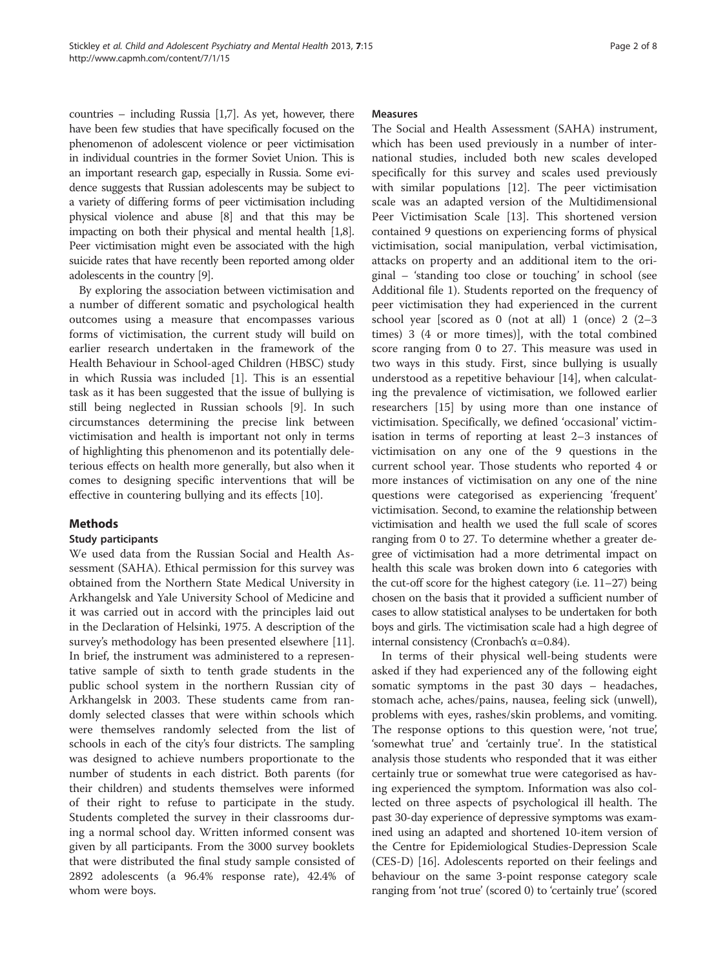countries – including Russia [\[1,7\]](#page-6-0). As yet, however, there have been few studies that have specifically focused on the phenomenon of adolescent violence or peer victimisation in individual countries in the former Soviet Union. This is an important research gap, especially in Russia. Some evidence suggests that Russian adolescents may be subject to a variety of differing forms of peer victimisation including physical violence and abuse [\[8\]](#page-6-0) and that this may be impacting on both their physical and mental health [\[1,8](#page-6-0)]. Peer victimisation might even be associated with the high suicide rates that have recently been reported among older adolescents in the country [\[9\]](#page-6-0).

By exploring the association between victimisation and a number of different somatic and psychological health outcomes using a measure that encompasses various forms of victimisation, the current study will build on earlier research undertaken in the framework of the Health Behaviour in School-aged Children (HBSC) study in which Russia was included [\[1](#page-6-0)]. This is an essential task as it has been suggested that the issue of bullying is still being neglected in Russian schools [[9\]](#page-6-0). In such circumstances determining the precise link between victimisation and health is important not only in terms of highlighting this phenomenon and its potentially deleterious effects on health more generally, but also when it comes to designing specific interventions that will be effective in countering bullying and its effects [[10](#page-6-0)].

# Methods

#### Study participants

We used data from the Russian Social and Health Assessment (SAHA). Ethical permission for this survey was obtained from the Northern State Medical University in Arkhangelsk and Yale University School of Medicine and it was carried out in accord with the principles laid out in the Declaration of Helsinki, 1975. A description of the survey's methodology has been presented elsewhere [\[11](#page-6-0)]. In brief, the instrument was administered to a representative sample of sixth to tenth grade students in the public school system in the northern Russian city of Arkhangelsk in 2003. These students came from randomly selected classes that were within schools which were themselves randomly selected from the list of schools in each of the city's four districts. The sampling was designed to achieve numbers proportionate to the number of students in each district. Both parents (for their children) and students themselves were informed of their right to refuse to participate in the study. Students completed the survey in their classrooms during a normal school day. Written informed consent was given by all participants. From the 3000 survey booklets that were distributed the final study sample consisted of 2892 adolescents (a 96.4% response rate), 42.4% of whom were boys.

#### **Measures**

The Social and Health Assessment (SAHA) instrument, which has been used previously in a number of international studies, included both new scales developed specifically for this survey and scales used previously with similar populations [\[12\]](#page-6-0). The peer victimisation scale was an adapted version of the Multidimensional Peer Victimisation Scale [\[13](#page-6-0)]. This shortened version contained 9 questions on experiencing forms of physical victimisation, social manipulation, verbal victimisation, attacks on property and an additional item to the original – 'standing too close or touching' in school (see Additional file [1\)](#page-6-0). Students reported on the frequency of peer victimisation they had experienced in the current school year [scored as 0 (not at all) 1 (once) 2 (2–3 times) 3 (4 or more times)], with the total combined score ranging from 0 to 27. This measure was used in two ways in this study. First, since bullying is usually understood as a repetitive behaviour [[14\]](#page-6-0), when calculating the prevalence of victimisation, we followed earlier researchers [\[15](#page-6-0)] by using more than one instance of victimisation. Specifically, we defined 'occasional' victimisation in terms of reporting at least 2–3 instances of victimisation on any one of the 9 questions in the current school year. Those students who reported 4 or more instances of victimisation on any one of the nine questions were categorised as experiencing 'frequent' victimisation. Second, to examine the relationship between victimisation and health we used the full scale of scores ranging from 0 to 27. To determine whether a greater degree of victimisation had a more detrimental impact on health this scale was broken down into 6 categories with the cut-off score for the highest category (i.e. 11–27) being chosen on the basis that it provided a sufficient number of cases to allow statistical analyses to be undertaken for both boys and girls. The victimisation scale had a high degree of internal consistency (Cronbach's α=0.84).

In terms of their physical well-being students were asked if they had experienced any of the following eight somatic symptoms in the past 30 days – headaches, stomach ache, aches/pains, nausea, feeling sick (unwell), problems with eyes, rashes/skin problems, and vomiting. The response options to this question were, 'not true', 'somewhat true' and 'certainly true'. In the statistical analysis those students who responded that it was either certainly true or somewhat true were categorised as having experienced the symptom. Information was also collected on three aspects of psychological ill health. The past 30-day experience of depressive symptoms was examined using an adapted and shortened 10-item version of the Centre for Epidemiological Studies-Depression Scale (CES-D) [\[16](#page-6-0)]. Adolescents reported on their feelings and behaviour on the same 3-point response category scale ranging from 'not true' (scored 0) to 'certainly true' (scored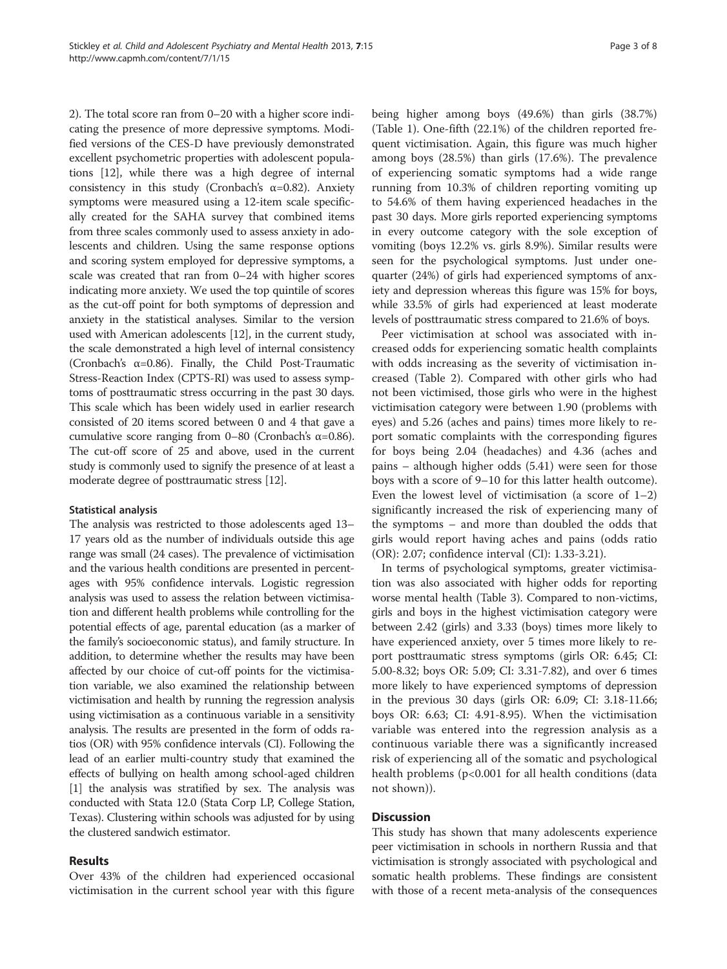2). The total score ran from 0–20 with a higher score indicating the presence of more depressive symptoms. Modified versions of the CES-D have previously demonstrated excellent psychometric properties with adolescent populations [\[12\]](#page-6-0), while there was a high degree of internal consistency in this study (Cronbach's  $\alpha$ =0.82). Anxiety symptoms were measured using a 12-item scale specifically created for the SAHA survey that combined items from three scales commonly used to assess anxiety in adolescents and children. Using the same response options and scoring system employed for depressive symptoms, a scale was created that ran from 0–24 with higher scores indicating more anxiety. We used the top quintile of scores as the cut-off point for both symptoms of depression and anxiety in the statistical analyses. Similar to the version used with American adolescents [\[12\]](#page-6-0), in the current study, the scale demonstrated a high level of internal consistency (Cronbach's  $\alpha$ =0.86). Finally, the Child Post-Traumatic Stress-Reaction Index (CPTS-RI) was used to assess symptoms of posttraumatic stress occurring in the past 30 days. This scale which has been widely used in earlier research consisted of 20 items scored between 0 and 4 that gave a cumulative score ranging from 0–80 (Cronbach's α=0.86). The cut-off score of 25 and above, used in the current study is commonly used to signify the presence of at least a moderate degree of posttraumatic stress [\[12\]](#page-6-0).

#### Statistical analysis

The analysis was restricted to those adolescents aged 13– 17 years old as the number of individuals outside this age range was small (24 cases). The prevalence of victimisation and the various health conditions are presented in percentages with 95% confidence intervals. Logistic regression analysis was used to assess the relation between victimisation and different health problems while controlling for the potential effects of age, parental education (as a marker of the family's socioeconomic status), and family structure. In addition, to determine whether the results may have been affected by our choice of cut-off points for the victimisation variable, we also examined the relationship between victimisation and health by running the regression analysis using victimisation as a continuous variable in a sensitivity analysis. The results are presented in the form of odds ratios (OR) with 95% confidence intervals (CI). Following the lead of an earlier multi-country study that examined the effects of bullying on health among school-aged children [[1](#page-6-0)] the analysis was stratified by sex. The analysis was conducted with Stata 12.0 (Stata Corp LP, College Station, Texas). Clustering within schools was adjusted for by using the clustered sandwich estimator.

#### Results

Over 43% of the children had experienced occasional victimisation in the current school year with this figure being higher among boys (49.6%) than girls (38.7%) (Table [1](#page-3-0)). One-fifth (22.1%) of the children reported frequent victimisation. Again, this figure was much higher among boys (28.5%) than girls (17.6%). The prevalence of experiencing somatic symptoms had a wide range running from 10.3% of children reporting vomiting up to 54.6% of them having experienced headaches in the past 30 days. More girls reported experiencing symptoms in every outcome category with the sole exception of vomiting (boys 12.2% vs. girls 8.9%). Similar results were seen for the psychological symptoms. Just under onequarter (24%) of girls had experienced symptoms of anxiety and depression whereas this figure was 15% for boys, while 33.5% of girls had experienced at least moderate levels of posttraumatic stress compared to 21.6% of boys.

Peer victimisation at school was associated with increased odds for experiencing somatic health complaints with odds increasing as the severity of victimisation increased (Table [2](#page-4-0)). Compared with other girls who had not been victimised, those girls who were in the highest victimisation category were between 1.90 (problems with eyes) and 5.26 (aches and pains) times more likely to report somatic complaints with the corresponding figures for boys being 2.04 (headaches) and 4.36 (aches and pains – although higher odds (5.41) were seen for those boys with a score of 9–10 for this latter health outcome). Even the lowest level of victimisation (a score of  $1-2$ ) significantly increased the risk of experiencing many of the symptoms – and more than doubled the odds that girls would report having aches and pains (odds ratio (OR): 2.07; confidence interval (CI): 1.33-3.21).

In terms of psychological symptoms, greater victimisation was also associated with higher odds for reporting worse mental health (Table [3](#page-5-0)). Compared to non-victims, girls and boys in the highest victimisation category were between 2.42 (girls) and 3.33 (boys) times more likely to have experienced anxiety, over 5 times more likely to report posttraumatic stress symptoms (girls OR: 6.45; CI: 5.00-8.32; boys OR: 5.09; CI: 3.31-7.82), and over 6 times more likely to have experienced symptoms of depression in the previous 30 days (girls OR: 6.09; CI: 3.18-11.66; boys OR: 6.63; CI: 4.91-8.95). When the victimisation variable was entered into the regression analysis as a continuous variable there was a significantly increased risk of experiencing all of the somatic and psychological health problems (p<0.001 for all health conditions (data not shown)).

#### **Discussion**

This study has shown that many adolescents experience peer victimisation in schools in northern Russia and that victimisation is strongly associated with psychological and somatic health problems. These findings are consistent with those of a recent meta-analysis of the consequences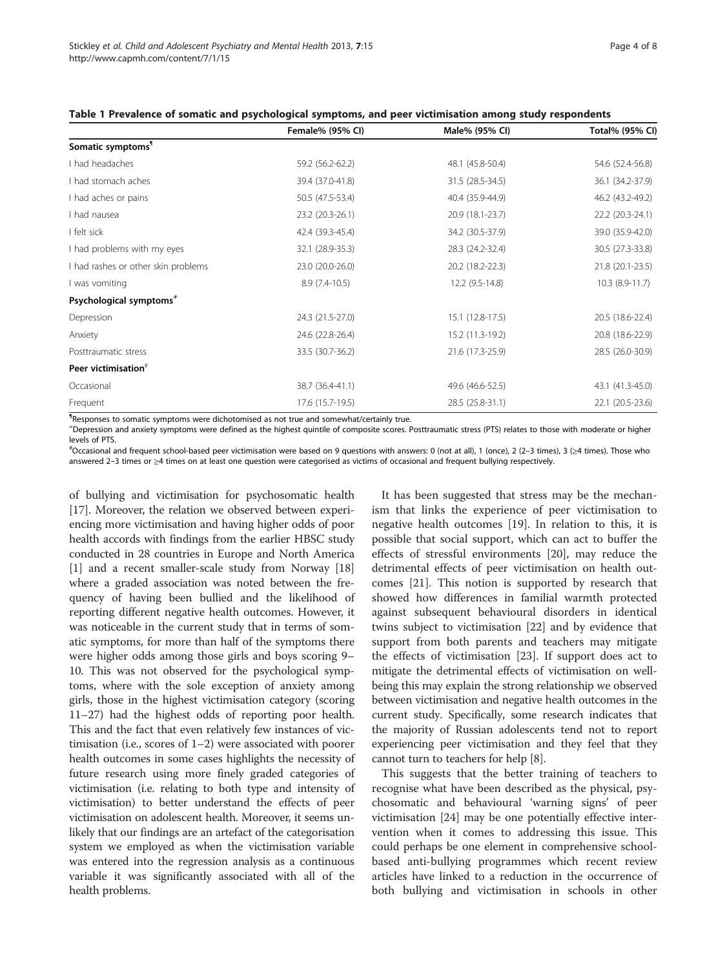|                                     | Female% (95% CI) | Male% (95% CI)   | Total% (95% CI)  |
|-------------------------------------|------------------|------------------|------------------|
| Somatic symptoms <sup>1</sup>       |                  |                  |                  |
| I had headaches                     | 59.2 (56.2-62.2) | 48.1 (45.8-50.4) | 54.6 (52.4-56.8) |
| I had stomach aches                 | 39.4 (37.0-41.8) | 31.5 (28.5-34.5) | 36.1 (34.2-37.9) |
| I had aches or pains                | 50.5 (47.5-53.4) | 40.4 (35.9-44.9) | 46.2 (43.2-49.2) |
| I had nausea                        | 23.2 (20.3-26.1) | 20.9 (18.1-23.7) | 22.2 (20.3-24.1) |
| I felt sick                         | 42.4 (39.3-45.4) | 34.2 (30.5-37.9) | 39.0 (35.9-42.0) |
| I had problems with my eyes         | 32.1 (28.9-35.3) | 28.3 (24.2-32.4) | 30.5 (27.3-33.8) |
| I had rashes or other skin problems | 23.0 (20.0-26.0) | 20.2 (18.2-22.3) | 21.8 (20.1-23.5) |
| I was vomiting                      | $8.9(7.4-10.5)$  | 12.2 (9.5-14.8)  | $10.3(8.9-11.7)$ |
| Psychological symptoms $*$          |                  |                  |                  |
| Depression                          | 24.3 (21.5-27.0) | 15.1 (12.8-17.5) | 20.5 (18.6-22.4) |
| Anxiety                             | 24.6 (22.8-26.4) | 15.2 (11.3-19.2) | 20.8 (18.6-22.9) |
| Posttraumatic stress                | 33.5 (30.7-36.2) | 21.6 (17.3-25.9) | 28.5 (26.0-30.9) |
| Peer victimisation <sup>#</sup>     |                  |                  |                  |
| Occasional                          | 38.7 (36.4-41.1) | 49.6 (46.6-52.5) | 43.1 (41.3-45.0) |
| Frequent                            | 17.6 (15.7-19.5) | 28.5 (25.8-31.1) | 22.1 (20.5-23.6) |

<span id="page-3-0"></span>

| Table 1 Prevalence of somatic and psychological symptoms, and peer victimisation among study respondents |  |
|----------------------------------------------------------------------------------------------------------|--|
|----------------------------------------------------------------------------------------------------------|--|

¶ Responses to somatic symptoms were dichotomised as not true and somewhat/certainly true.

≠ Depression and anxiety symptoms were defined as the highest quintile of composite scores. Posttraumatic stress (PTS) relates to those with moderate or higher levels of PTS.

# Occasional and frequent school-based peer victimisation were based on 9 questions with answers: 0 (not at all), 1 (once), 2 (2–3 times), 3 (≥4 times). Those who answered 2–3 times or ≥4 times on at least one question were categorised as victims of occasional and frequent bullying respectively.

of bullying and victimisation for psychosomatic health [[17](#page-6-0)]. Moreover, the relation we observed between experiencing more victimisation and having higher odds of poor health accords with findings from the earlier HBSC study conducted in 28 countries in Europe and North America [[1\]](#page-6-0) and a recent smaller-scale study from Norway [[18](#page-6-0)] where a graded association was noted between the frequency of having been bullied and the likelihood of reporting different negative health outcomes. However, it was noticeable in the current study that in terms of somatic symptoms, for more than half of the symptoms there were higher odds among those girls and boys scoring 9– 10. This was not observed for the psychological symptoms, where with the sole exception of anxiety among girls, those in the highest victimisation category (scoring 11–27) had the highest odds of reporting poor health. This and the fact that even relatively few instances of victimisation (i.e., scores of 1–2) were associated with poorer health outcomes in some cases highlights the necessity of future research using more finely graded categories of victimisation (i.e. relating to both type and intensity of victimisation) to better understand the effects of peer victimisation on adolescent health. Moreover, it seems unlikely that our findings are an artefact of the categorisation system we employed as when the victimisation variable was entered into the regression analysis as a continuous variable it was significantly associated with all of the health problems.

It has been suggested that stress may be the mechanism that links the experience of peer victimisation to negative health outcomes [\[19](#page-6-0)]. In relation to this, it is possible that social support, which can act to buffer the effects of stressful environments [\[20](#page-6-0)], may reduce the detrimental effects of peer victimisation on health outcomes [\[21](#page-6-0)]. This notion is supported by research that showed how differences in familial warmth protected against subsequent behavioural disorders in identical twins subject to victimisation [\[22](#page-7-0)] and by evidence that support from both parents and teachers may mitigate the effects of victimisation [\[23](#page-7-0)]. If support does act to mitigate the detrimental effects of victimisation on wellbeing this may explain the strong relationship we observed between victimisation and negative health outcomes in the current study. Specifically, some research indicates that the majority of Russian adolescents tend not to report experiencing peer victimisation and they feel that they cannot turn to teachers for help [\[8](#page-6-0)].

This suggests that the better training of teachers to recognise what have been described as the physical, psychosomatic and behavioural 'warning signs' of peer victimisation [[24\]](#page-7-0) may be one potentially effective intervention when it comes to addressing this issue. This could perhaps be one element in comprehensive schoolbased anti-bullying programmes which recent review articles have linked to a reduction in the occurrence of both bullying and victimisation in schools in other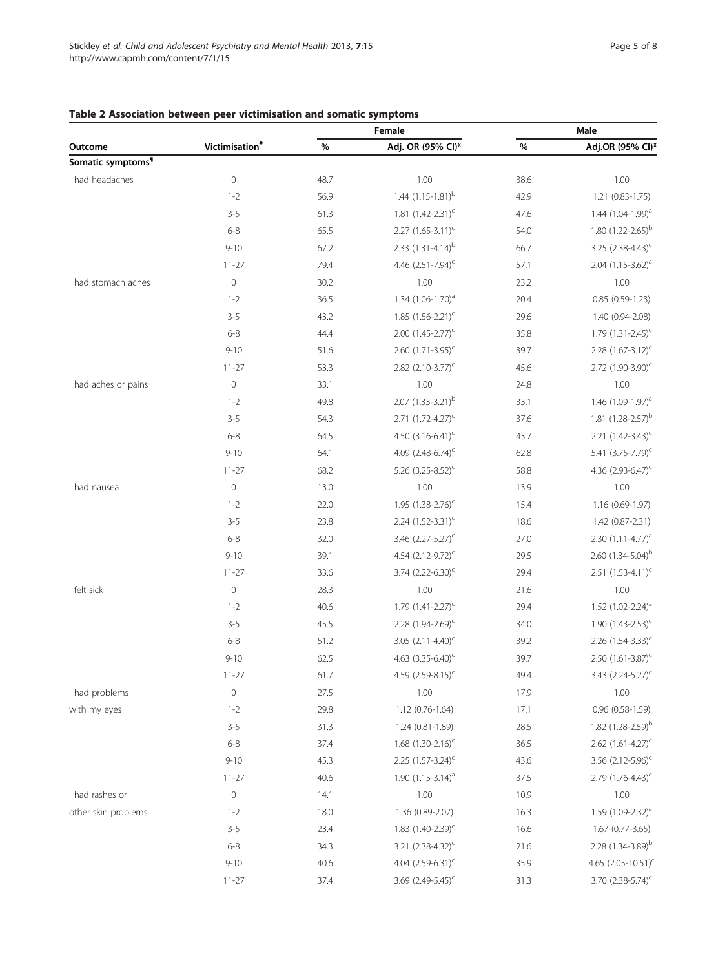# <span id="page-4-0"></span>Table 2 Association between peer victimisation and somatic symptoms

| Victimisation <sup>#</sup><br>Adj. OR (95% CI)*<br>%<br>%<br>Outcome<br>Somatic symptoms <sup>1</sup><br>$\mathbf 0$<br>I had headaches<br>1.00<br>38.6<br>1.00<br>48.7<br>1.44 $(1.15-1.81)^{b}$<br>$1 - 2$<br>56.9<br>42.9<br>1.21 (0.83-1.75)<br>$3 - 5$<br>1.81 $(1.42 - 2.31)^c$<br>1.44 $(1.04 - 1.99)^{a}$<br>61.3<br>47.6<br>2.27 $(1.65 - 3.11)^c$<br>1.80 $(1.22 - 2.65)^{b}$<br>$6 - 8$<br>65.5<br>54.0<br>2.33 $(1.31-4.14)^{b}$<br>$9 - 10$<br>3.25 $(2.38-4.43)^c$<br>67.2<br>66.7<br>4.46 $(2.51 - 7.94)^c$<br>57.1<br>$2.04$ (1.15-3.62) <sup>a</sup><br>79.4<br>$11 - 27$<br>$\mathbf 0$<br>I had stomach aches<br>1.00<br>1.00<br>30.2<br>23.2<br>$1 - 2$<br>36.5<br>1.34 (1.06-1.70) <sup>a</sup><br>20.4<br>$0.85(0.59-1.23)$<br>$3 - 5$<br>1.85 $(1.56 - 2.21)^c$<br>43.2<br>29.6<br>1.40 (0.94-2.08)<br>$6 - 8$<br>44.4<br>$2.00$ $(1.45 - 2.77)^{c}$<br>35.8<br>1.79 $(1.31 - 2.45)^c$<br>$9 - 10$<br>51.6<br>2.60 $(1.71 - 3.95)^c$<br>39.7<br>2.28 $(1.67 - 3.12)^c$<br>2.82 $(2.10-3.77)^{c}$<br>2.72 $(1.90-3.90)^c$<br>$11 - 27$<br>53.3<br>45.6<br>$\mathbf 0$<br>I had aches or pains<br>1.00<br>1.00<br>33.1<br>24.8<br>$2.07 (1.33 - 3.21)^{b}$<br>$1 - 2$<br>49.8<br>33.1<br>1.46 (1.09-1.97) <sup>a</sup><br>1.81 $(1.28 - 2.57)^{b}$<br>$3 - 5$<br>2.71 $(1.72 - 4.27)^{c}$<br>54.3<br>37.6<br>$6 - 8$<br>64.5<br>4.50 $(3.16-6.41)^c$<br>43.7<br>2.21 $(1.42 - 3.43)^c$<br>$9 - 10$<br>64.1<br>4.09 $(2.48-6.74)^c$<br>62.8<br>5.41 (3.75-7.79) <sup>c</sup><br>5.26 $(3.25 - 8.52)^c$<br>4.36 $(2.93 - 6.47)^c$<br>68.2<br>58.8<br>$11 - 27$<br>$\mathbf 0$<br>I had nausea<br>1.00<br>1.00<br>13.0<br>13.9<br>$1 - 2$<br>22.0<br>1.95 $(1.38 - 2.76)^c$<br>15.4<br>1.16 (0.69-1.97)<br>2.24 $(1.52 - 3.31)^c$<br>$3 - 5$<br>23.8<br>18.6<br>1.42 (0.87-2.31)<br>$6 - 8$<br>3.46 $(2.27 - 5.27)^c$<br>2.30 $(1.11-4.77)^a$<br>32.0<br>27.0<br>$9 - 10$<br>4.54 $(2.12 - 9.72)^{c}$<br>2.60 $(1.34 - 5.04)^{b}$<br>39.1<br>29.5<br>$3.74$ (2.22-6.30) <sup>c</sup><br>$2.51$ $(1.53-4.11)^c$<br>29.4<br>$11 - 27$<br>33.6<br>$\mathbf 0$<br>I felt sick<br>1.00<br>1.00<br>28.3<br>21.6<br>$1.79$ $(1.41 - 2.27)$ <sup>c</sup><br>$1 - 2$<br>40.6<br>29.4<br>1.52 $(1.02 - 2.24)^a$<br>1.90 $(1.43 - 2.53)^c$<br>$3 - 5$<br>45.5<br>2.28 $(1.94 - 2.69)^c$<br>34.0<br>$6 - 8$<br>3.05 $(2.11 - 4.40)$ <sup>c</sup><br>2.26 $(1.54 - 3.33)^c$<br>51.2<br>39.2<br>$9 - 10$<br>62.5<br>4.63 $(3.35 - 6.40)$ <sup>c</sup><br>39.7<br>2.50 $(1.61 - 3.87)^c$<br>$11 - 27$<br>61.7<br>4.59 $(2.59 - 8.15)^c$<br>49.4<br>3.43 $(2.24 - 5.27)^c$<br>$\mathsf{O}\xspace$<br>I had problems<br>1.00<br>1.00<br>27.5<br>17.9<br>with my eyes<br>$1 - 2$<br>29.8<br>1.12 (0.76-1.64)<br>17.1<br>0.96 (0.58-1.59)<br>1.82 $(1.28 - 2.59)^{b}$<br>$3 - 5$<br>31.3<br>1.24 (0.81-1.89)<br>28.5<br>$6 - 8$<br>37.4<br>1.68 $(1.30-2.16)^c$<br>36.5<br>2.62 $(1.61 - 4.27)^c$<br>2.25 $(1.57-3.24)^c$<br>$9 - 10$<br>43.6<br>3.56 $(2.12 - 5.96)^c$<br>45.3<br>1.90 $(1.15-3.14)^{a}$<br>2.79 $(1.76 - 4.43)^c$<br>40.6<br>37.5<br>$11 - 27$<br>I had rashes or<br>0<br>1.00<br>1.00<br>14.1<br>10.9<br>other skin problems<br>1.36 (0.89-2.07)<br>16.3<br>1.59 $(1.09 - 2.32)^a$<br>$1 - 2$<br>18.0<br>1.83 $(1.40 - 2.39)^c$<br>$3 - 5$<br>16.6<br>1.67 (0.77-3.65)<br>23.4<br>$6 - 8$<br>2.28 $(1.34 - 3.89)^b$<br>34.3<br>3.21 $(2.38-4.32)^c$<br>21.6<br>4.04 $(2.59-6.31)^c$<br>4.65 $(2.05 - 10.51)^c$<br>$9 - 10$<br>40.6<br>35.9<br>3.69 $(2.49 - 5.45)^c$<br>3.70 $(2.38 - 5.74)^c$<br>31.3<br>$11 - 27$<br>37.4 |  |  | Female |  | Male             |  |
|-----------------------------------------------------------------------------------------------------------------------------------------------------------------------------------------------------------------------------------------------------------------------------------------------------------------------------------------------------------------------------------------------------------------------------------------------------------------------------------------------------------------------------------------------------------------------------------------------------------------------------------------------------------------------------------------------------------------------------------------------------------------------------------------------------------------------------------------------------------------------------------------------------------------------------------------------------------------------------------------------------------------------------------------------------------------------------------------------------------------------------------------------------------------------------------------------------------------------------------------------------------------------------------------------------------------------------------------------------------------------------------------------------------------------------------------------------------------------------------------------------------------------------------------------------------------------------------------------------------------------------------------------------------------------------------------------------------------------------------------------------------------------------------------------------------------------------------------------------------------------------------------------------------------------------------------------------------------------------------------------------------------------------------------------------------------------------------------------------------------------------------------------------------------------------------------------------------------------------------------------------------------------------------------------------------------------------------------------------------------------------------------------------------------------------------------------------------------------------------------------------------------------------------------------------------------------------------------------------------------------------------------------------------------------------------------------------------------------------------------------------------------------------------------------------------------------------------------------------------------------------------------------------------------------------------------------------------------------------------------------------------------------------------------------------------------------------------------------------------------------------------------------------------------------------------------------------------------------------------------------------------------------------------------------------------------------------------------------------------------------------------------------------------------------------------------------------------------------------------------------------------------------------------------------|--|--|--------|--|------------------|--|
|                                                                                                                                                                                                                                                                                                                                                                                                                                                                                                                                                                                                                                                                                                                                                                                                                                                                                                                                                                                                                                                                                                                                                                                                                                                                                                                                                                                                                                                                                                                                                                                                                                                                                                                                                                                                                                                                                                                                                                                                                                                                                                                                                                                                                                                                                                                                                                                                                                                                                                                                                                                                                                                                                                                                                                                                                                                                                                                                                                                                                                                                                                                                                                                                                                                                                                                                                                                                                                                                                                                                               |  |  |        |  | Adj.OR (95% Cl)* |  |
|                                                                                                                                                                                                                                                                                                                                                                                                                                                                                                                                                                                                                                                                                                                                                                                                                                                                                                                                                                                                                                                                                                                                                                                                                                                                                                                                                                                                                                                                                                                                                                                                                                                                                                                                                                                                                                                                                                                                                                                                                                                                                                                                                                                                                                                                                                                                                                                                                                                                                                                                                                                                                                                                                                                                                                                                                                                                                                                                                                                                                                                                                                                                                                                                                                                                                                                                                                                                                                                                                                                                               |  |  |        |  |                  |  |
|                                                                                                                                                                                                                                                                                                                                                                                                                                                                                                                                                                                                                                                                                                                                                                                                                                                                                                                                                                                                                                                                                                                                                                                                                                                                                                                                                                                                                                                                                                                                                                                                                                                                                                                                                                                                                                                                                                                                                                                                                                                                                                                                                                                                                                                                                                                                                                                                                                                                                                                                                                                                                                                                                                                                                                                                                                                                                                                                                                                                                                                                                                                                                                                                                                                                                                                                                                                                                                                                                                                                               |  |  |        |  |                  |  |
|                                                                                                                                                                                                                                                                                                                                                                                                                                                                                                                                                                                                                                                                                                                                                                                                                                                                                                                                                                                                                                                                                                                                                                                                                                                                                                                                                                                                                                                                                                                                                                                                                                                                                                                                                                                                                                                                                                                                                                                                                                                                                                                                                                                                                                                                                                                                                                                                                                                                                                                                                                                                                                                                                                                                                                                                                                                                                                                                                                                                                                                                                                                                                                                                                                                                                                                                                                                                                                                                                                                                               |  |  |        |  |                  |  |
|                                                                                                                                                                                                                                                                                                                                                                                                                                                                                                                                                                                                                                                                                                                                                                                                                                                                                                                                                                                                                                                                                                                                                                                                                                                                                                                                                                                                                                                                                                                                                                                                                                                                                                                                                                                                                                                                                                                                                                                                                                                                                                                                                                                                                                                                                                                                                                                                                                                                                                                                                                                                                                                                                                                                                                                                                                                                                                                                                                                                                                                                                                                                                                                                                                                                                                                                                                                                                                                                                                                                               |  |  |        |  |                  |  |
|                                                                                                                                                                                                                                                                                                                                                                                                                                                                                                                                                                                                                                                                                                                                                                                                                                                                                                                                                                                                                                                                                                                                                                                                                                                                                                                                                                                                                                                                                                                                                                                                                                                                                                                                                                                                                                                                                                                                                                                                                                                                                                                                                                                                                                                                                                                                                                                                                                                                                                                                                                                                                                                                                                                                                                                                                                                                                                                                                                                                                                                                                                                                                                                                                                                                                                                                                                                                                                                                                                                                               |  |  |        |  |                  |  |
|                                                                                                                                                                                                                                                                                                                                                                                                                                                                                                                                                                                                                                                                                                                                                                                                                                                                                                                                                                                                                                                                                                                                                                                                                                                                                                                                                                                                                                                                                                                                                                                                                                                                                                                                                                                                                                                                                                                                                                                                                                                                                                                                                                                                                                                                                                                                                                                                                                                                                                                                                                                                                                                                                                                                                                                                                                                                                                                                                                                                                                                                                                                                                                                                                                                                                                                                                                                                                                                                                                                                               |  |  |        |  |                  |  |
|                                                                                                                                                                                                                                                                                                                                                                                                                                                                                                                                                                                                                                                                                                                                                                                                                                                                                                                                                                                                                                                                                                                                                                                                                                                                                                                                                                                                                                                                                                                                                                                                                                                                                                                                                                                                                                                                                                                                                                                                                                                                                                                                                                                                                                                                                                                                                                                                                                                                                                                                                                                                                                                                                                                                                                                                                                                                                                                                                                                                                                                                                                                                                                                                                                                                                                                                                                                                                                                                                                                                               |  |  |        |  |                  |  |
|                                                                                                                                                                                                                                                                                                                                                                                                                                                                                                                                                                                                                                                                                                                                                                                                                                                                                                                                                                                                                                                                                                                                                                                                                                                                                                                                                                                                                                                                                                                                                                                                                                                                                                                                                                                                                                                                                                                                                                                                                                                                                                                                                                                                                                                                                                                                                                                                                                                                                                                                                                                                                                                                                                                                                                                                                                                                                                                                                                                                                                                                                                                                                                                                                                                                                                                                                                                                                                                                                                                                               |  |  |        |  |                  |  |
|                                                                                                                                                                                                                                                                                                                                                                                                                                                                                                                                                                                                                                                                                                                                                                                                                                                                                                                                                                                                                                                                                                                                                                                                                                                                                                                                                                                                                                                                                                                                                                                                                                                                                                                                                                                                                                                                                                                                                                                                                                                                                                                                                                                                                                                                                                                                                                                                                                                                                                                                                                                                                                                                                                                                                                                                                                                                                                                                                                                                                                                                                                                                                                                                                                                                                                                                                                                                                                                                                                                                               |  |  |        |  |                  |  |
|                                                                                                                                                                                                                                                                                                                                                                                                                                                                                                                                                                                                                                                                                                                                                                                                                                                                                                                                                                                                                                                                                                                                                                                                                                                                                                                                                                                                                                                                                                                                                                                                                                                                                                                                                                                                                                                                                                                                                                                                                                                                                                                                                                                                                                                                                                                                                                                                                                                                                                                                                                                                                                                                                                                                                                                                                                                                                                                                                                                                                                                                                                                                                                                                                                                                                                                                                                                                                                                                                                                                               |  |  |        |  |                  |  |
|                                                                                                                                                                                                                                                                                                                                                                                                                                                                                                                                                                                                                                                                                                                                                                                                                                                                                                                                                                                                                                                                                                                                                                                                                                                                                                                                                                                                                                                                                                                                                                                                                                                                                                                                                                                                                                                                                                                                                                                                                                                                                                                                                                                                                                                                                                                                                                                                                                                                                                                                                                                                                                                                                                                                                                                                                                                                                                                                                                                                                                                                                                                                                                                                                                                                                                                                                                                                                                                                                                                                               |  |  |        |  |                  |  |
|                                                                                                                                                                                                                                                                                                                                                                                                                                                                                                                                                                                                                                                                                                                                                                                                                                                                                                                                                                                                                                                                                                                                                                                                                                                                                                                                                                                                                                                                                                                                                                                                                                                                                                                                                                                                                                                                                                                                                                                                                                                                                                                                                                                                                                                                                                                                                                                                                                                                                                                                                                                                                                                                                                                                                                                                                                                                                                                                                                                                                                                                                                                                                                                                                                                                                                                                                                                                                                                                                                                                               |  |  |        |  |                  |  |
|                                                                                                                                                                                                                                                                                                                                                                                                                                                                                                                                                                                                                                                                                                                                                                                                                                                                                                                                                                                                                                                                                                                                                                                                                                                                                                                                                                                                                                                                                                                                                                                                                                                                                                                                                                                                                                                                                                                                                                                                                                                                                                                                                                                                                                                                                                                                                                                                                                                                                                                                                                                                                                                                                                                                                                                                                                                                                                                                                                                                                                                                                                                                                                                                                                                                                                                                                                                                                                                                                                                                               |  |  |        |  |                  |  |
|                                                                                                                                                                                                                                                                                                                                                                                                                                                                                                                                                                                                                                                                                                                                                                                                                                                                                                                                                                                                                                                                                                                                                                                                                                                                                                                                                                                                                                                                                                                                                                                                                                                                                                                                                                                                                                                                                                                                                                                                                                                                                                                                                                                                                                                                                                                                                                                                                                                                                                                                                                                                                                                                                                                                                                                                                                                                                                                                                                                                                                                                                                                                                                                                                                                                                                                                                                                                                                                                                                                                               |  |  |        |  |                  |  |
|                                                                                                                                                                                                                                                                                                                                                                                                                                                                                                                                                                                                                                                                                                                                                                                                                                                                                                                                                                                                                                                                                                                                                                                                                                                                                                                                                                                                                                                                                                                                                                                                                                                                                                                                                                                                                                                                                                                                                                                                                                                                                                                                                                                                                                                                                                                                                                                                                                                                                                                                                                                                                                                                                                                                                                                                                                                                                                                                                                                                                                                                                                                                                                                                                                                                                                                                                                                                                                                                                                                                               |  |  |        |  |                  |  |
|                                                                                                                                                                                                                                                                                                                                                                                                                                                                                                                                                                                                                                                                                                                                                                                                                                                                                                                                                                                                                                                                                                                                                                                                                                                                                                                                                                                                                                                                                                                                                                                                                                                                                                                                                                                                                                                                                                                                                                                                                                                                                                                                                                                                                                                                                                                                                                                                                                                                                                                                                                                                                                                                                                                                                                                                                                                                                                                                                                                                                                                                                                                                                                                                                                                                                                                                                                                                                                                                                                                                               |  |  |        |  |                  |  |
|                                                                                                                                                                                                                                                                                                                                                                                                                                                                                                                                                                                                                                                                                                                                                                                                                                                                                                                                                                                                                                                                                                                                                                                                                                                                                                                                                                                                                                                                                                                                                                                                                                                                                                                                                                                                                                                                                                                                                                                                                                                                                                                                                                                                                                                                                                                                                                                                                                                                                                                                                                                                                                                                                                                                                                                                                                                                                                                                                                                                                                                                                                                                                                                                                                                                                                                                                                                                                                                                                                                                               |  |  |        |  |                  |  |
|                                                                                                                                                                                                                                                                                                                                                                                                                                                                                                                                                                                                                                                                                                                                                                                                                                                                                                                                                                                                                                                                                                                                                                                                                                                                                                                                                                                                                                                                                                                                                                                                                                                                                                                                                                                                                                                                                                                                                                                                                                                                                                                                                                                                                                                                                                                                                                                                                                                                                                                                                                                                                                                                                                                                                                                                                                                                                                                                                                                                                                                                                                                                                                                                                                                                                                                                                                                                                                                                                                                                               |  |  |        |  |                  |  |
|                                                                                                                                                                                                                                                                                                                                                                                                                                                                                                                                                                                                                                                                                                                                                                                                                                                                                                                                                                                                                                                                                                                                                                                                                                                                                                                                                                                                                                                                                                                                                                                                                                                                                                                                                                                                                                                                                                                                                                                                                                                                                                                                                                                                                                                                                                                                                                                                                                                                                                                                                                                                                                                                                                                                                                                                                                                                                                                                                                                                                                                                                                                                                                                                                                                                                                                                                                                                                                                                                                                                               |  |  |        |  |                  |  |
|                                                                                                                                                                                                                                                                                                                                                                                                                                                                                                                                                                                                                                                                                                                                                                                                                                                                                                                                                                                                                                                                                                                                                                                                                                                                                                                                                                                                                                                                                                                                                                                                                                                                                                                                                                                                                                                                                                                                                                                                                                                                                                                                                                                                                                                                                                                                                                                                                                                                                                                                                                                                                                                                                                                                                                                                                                                                                                                                                                                                                                                                                                                                                                                                                                                                                                                                                                                                                                                                                                                                               |  |  |        |  |                  |  |
|                                                                                                                                                                                                                                                                                                                                                                                                                                                                                                                                                                                                                                                                                                                                                                                                                                                                                                                                                                                                                                                                                                                                                                                                                                                                                                                                                                                                                                                                                                                                                                                                                                                                                                                                                                                                                                                                                                                                                                                                                                                                                                                                                                                                                                                                                                                                                                                                                                                                                                                                                                                                                                                                                                                                                                                                                                                                                                                                                                                                                                                                                                                                                                                                                                                                                                                                                                                                                                                                                                                                               |  |  |        |  |                  |  |
|                                                                                                                                                                                                                                                                                                                                                                                                                                                                                                                                                                                                                                                                                                                                                                                                                                                                                                                                                                                                                                                                                                                                                                                                                                                                                                                                                                                                                                                                                                                                                                                                                                                                                                                                                                                                                                                                                                                                                                                                                                                                                                                                                                                                                                                                                                                                                                                                                                                                                                                                                                                                                                                                                                                                                                                                                                                                                                                                                                                                                                                                                                                                                                                                                                                                                                                                                                                                                                                                                                                                               |  |  |        |  |                  |  |
|                                                                                                                                                                                                                                                                                                                                                                                                                                                                                                                                                                                                                                                                                                                                                                                                                                                                                                                                                                                                                                                                                                                                                                                                                                                                                                                                                                                                                                                                                                                                                                                                                                                                                                                                                                                                                                                                                                                                                                                                                                                                                                                                                                                                                                                                                                                                                                                                                                                                                                                                                                                                                                                                                                                                                                                                                                                                                                                                                                                                                                                                                                                                                                                                                                                                                                                                                                                                                                                                                                                                               |  |  |        |  |                  |  |
|                                                                                                                                                                                                                                                                                                                                                                                                                                                                                                                                                                                                                                                                                                                                                                                                                                                                                                                                                                                                                                                                                                                                                                                                                                                                                                                                                                                                                                                                                                                                                                                                                                                                                                                                                                                                                                                                                                                                                                                                                                                                                                                                                                                                                                                                                                                                                                                                                                                                                                                                                                                                                                                                                                                                                                                                                                                                                                                                                                                                                                                                                                                                                                                                                                                                                                                                                                                                                                                                                                                                               |  |  |        |  |                  |  |
|                                                                                                                                                                                                                                                                                                                                                                                                                                                                                                                                                                                                                                                                                                                                                                                                                                                                                                                                                                                                                                                                                                                                                                                                                                                                                                                                                                                                                                                                                                                                                                                                                                                                                                                                                                                                                                                                                                                                                                                                                                                                                                                                                                                                                                                                                                                                                                                                                                                                                                                                                                                                                                                                                                                                                                                                                                                                                                                                                                                                                                                                                                                                                                                                                                                                                                                                                                                                                                                                                                                                               |  |  |        |  |                  |  |
|                                                                                                                                                                                                                                                                                                                                                                                                                                                                                                                                                                                                                                                                                                                                                                                                                                                                                                                                                                                                                                                                                                                                                                                                                                                                                                                                                                                                                                                                                                                                                                                                                                                                                                                                                                                                                                                                                                                                                                                                                                                                                                                                                                                                                                                                                                                                                                                                                                                                                                                                                                                                                                                                                                                                                                                                                                                                                                                                                                                                                                                                                                                                                                                                                                                                                                                                                                                                                                                                                                                                               |  |  |        |  |                  |  |
|                                                                                                                                                                                                                                                                                                                                                                                                                                                                                                                                                                                                                                                                                                                                                                                                                                                                                                                                                                                                                                                                                                                                                                                                                                                                                                                                                                                                                                                                                                                                                                                                                                                                                                                                                                                                                                                                                                                                                                                                                                                                                                                                                                                                                                                                                                                                                                                                                                                                                                                                                                                                                                                                                                                                                                                                                                                                                                                                                                                                                                                                                                                                                                                                                                                                                                                                                                                                                                                                                                                                               |  |  |        |  |                  |  |
|                                                                                                                                                                                                                                                                                                                                                                                                                                                                                                                                                                                                                                                                                                                                                                                                                                                                                                                                                                                                                                                                                                                                                                                                                                                                                                                                                                                                                                                                                                                                                                                                                                                                                                                                                                                                                                                                                                                                                                                                                                                                                                                                                                                                                                                                                                                                                                                                                                                                                                                                                                                                                                                                                                                                                                                                                                                                                                                                                                                                                                                                                                                                                                                                                                                                                                                                                                                                                                                                                                                                               |  |  |        |  |                  |  |
|                                                                                                                                                                                                                                                                                                                                                                                                                                                                                                                                                                                                                                                                                                                                                                                                                                                                                                                                                                                                                                                                                                                                                                                                                                                                                                                                                                                                                                                                                                                                                                                                                                                                                                                                                                                                                                                                                                                                                                                                                                                                                                                                                                                                                                                                                                                                                                                                                                                                                                                                                                                                                                                                                                                                                                                                                                                                                                                                                                                                                                                                                                                                                                                                                                                                                                                                                                                                                                                                                                                                               |  |  |        |  |                  |  |
|                                                                                                                                                                                                                                                                                                                                                                                                                                                                                                                                                                                                                                                                                                                                                                                                                                                                                                                                                                                                                                                                                                                                                                                                                                                                                                                                                                                                                                                                                                                                                                                                                                                                                                                                                                                                                                                                                                                                                                                                                                                                                                                                                                                                                                                                                                                                                                                                                                                                                                                                                                                                                                                                                                                                                                                                                                                                                                                                                                                                                                                                                                                                                                                                                                                                                                                                                                                                                                                                                                                                               |  |  |        |  |                  |  |
|                                                                                                                                                                                                                                                                                                                                                                                                                                                                                                                                                                                                                                                                                                                                                                                                                                                                                                                                                                                                                                                                                                                                                                                                                                                                                                                                                                                                                                                                                                                                                                                                                                                                                                                                                                                                                                                                                                                                                                                                                                                                                                                                                                                                                                                                                                                                                                                                                                                                                                                                                                                                                                                                                                                                                                                                                                                                                                                                                                                                                                                                                                                                                                                                                                                                                                                                                                                                                                                                                                                                               |  |  |        |  |                  |  |
|                                                                                                                                                                                                                                                                                                                                                                                                                                                                                                                                                                                                                                                                                                                                                                                                                                                                                                                                                                                                                                                                                                                                                                                                                                                                                                                                                                                                                                                                                                                                                                                                                                                                                                                                                                                                                                                                                                                                                                                                                                                                                                                                                                                                                                                                                                                                                                                                                                                                                                                                                                                                                                                                                                                                                                                                                                                                                                                                                                                                                                                                                                                                                                                                                                                                                                                                                                                                                                                                                                                                               |  |  |        |  |                  |  |
|                                                                                                                                                                                                                                                                                                                                                                                                                                                                                                                                                                                                                                                                                                                                                                                                                                                                                                                                                                                                                                                                                                                                                                                                                                                                                                                                                                                                                                                                                                                                                                                                                                                                                                                                                                                                                                                                                                                                                                                                                                                                                                                                                                                                                                                                                                                                                                                                                                                                                                                                                                                                                                                                                                                                                                                                                                                                                                                                                                                                                                                                                                                                                                                                                                                                                                                                                                                                                                                                                                                                               |  |  |        |  |                  |  |
|                                                                                                                                                                                                                                                                                                                                                                                                                                                                                                                                                                                                                                                                                                                                                                                                                                                                                                                                                                                                                                                                                                                                                                                                                                                                                                                                                                                                                                                                                                                                                                                                                                                                                                                                                                                                                                                                                                                                                                                                                                                                                                                                                                                                                                                                                                                                                                                                                                                                                                                                                                                                                                                                                                                                                                                                                                                                                                                                                                                                                                                                                                                                                                                                                                                                                                                                                                                                                                                                                                                                               |  |  |        |  |                  |  |
|                                                                                                                                                                                                                                                                                                                                                                                                                                                                                                                                                                                                                                                                                                                                                                                                                                                                                                                                                                                                                                                                                                                                                                                                                                                                                                                                                                                                                                                                                                                                                                                                                                                                                                                                                                                                                                                                                                                                                                                                                                                                                                                                                                                                                                                                                                                                                                                                                                                                                                                                                                                                                                                                                                                                                                                                                                                                                                                                                                                                                                                                                                                                                                                                                                                                                                                                                                                                                                                                                                                                               |  |  |        |  |                  |  |
|                                                                                                                                                                                                                                                                                                                                                                                                                                                                                                                                                                                                                                                                                                                                                                                                                                                                                                                                                                                                                                                                                                                                                                                                                                                                                                                                                                                                                                                                                                                                                                                                                                                                                                                                                                                                                                                                                                                                                                                                                                                                                                                                                                                                                                                                                                                                                                                                                                                                                                                                                                                                                                                                                                                                                                                                                                                                                                                                                                                                                                                                                                                                                                                                                                                                                                                                                                                                                                                                                                                                               |  |  |        |  |                  |  |
|                                                                                                                                                                                                                                                                                                                                                                                                                                                                                                                                                                                                                                                                                                                                                                                                                                                                                                                                                                                                                                                                                                                                                                                                                                                                                                                                                                                                                                                                                                                                                                                                                                                                                                                                                                                                                                                                                                                                                                                                                                                                                                                                                                                                                                                                                                                                                                                                                                                                                                                                                                                                                                                                                                                                                                                                                                                                                                                                                                                                                                                                                                                                                                                                                                                                                                                                                                                                                                                                                                                                               |  |  |        |  |                  |  |
|                                                                                                                                                                                                                                                                                                                                                                                                                                                                                                                                                                                                                                                                                                                                                                                                                                                                                                                                                                                                                                                                                                                                                                                                                                                                                                                                                                                                                                                                                                                                                                                                                                                                                                                                                                                                                                                                                                                                                                                                                                                                                                                                                                                                                                                                                                                                                                                                                                                                                                                                                                                                                                                                                                                                                                                                                                                                                                                                                                                                                                                                                                                                                                                                                                                                                                                                                                                                                                                                                                                                               |  |  |        |  |                  |  |
|                                                                                                                                                                                                                                                                                                                                                                                                                                                                                                                                                                                                                                                                                                                                                                                                                                                                                                                                                                                                                                                                                                                                                                                                                                                                                                                                                                                                                                                                                                                                                                                                                                                                                                                                                                                                                                                                                                                                                                                                                                                                                                                                                                                                                                                                                                                                                                                                                                                                                                                                                                                                                                                                                                                                                                                                                                                                                                                                                                                                                                                                                                                                                                                                                                                                                                                                                                                                                                                                                                                                               |  |  |        |  |                  |  |
|                                                                                                                                                                                                                                                                                                                                                                                                                                                                                                                                                                                                                                                                                                                                                                                                                                                                                                                                                                                                                                                                                                                                                                                                                                                                                                                                                                                                                                                                                                                                                                                                                                                                                                                                                                                                                                                                                                                                                                                                                                                                                                                                                                                                                                                                                                                                                                                                                                                                                                                                                                                                                                                                                                                                                                                                                                                                                                                                                                                                                                                                                                                                                                                                                                                                                                                                                                                                                                                                                                                                               |  |  |        |  |                  |  |
|                                                                                                                                                                                                                                                                                                                                                                                                                                                                                                                                                                                                                                                                                                                                                                                                                                                                                                                                                                                                                                                                                                                                                                                                                                                                                                                                                                                                                                                                                                                                                                                                                                                                                                                                                                                                                                                                                                                                                                                                                                                                                                                                                                                                                                                                                                                                                                                                                                                                                                                                                                                                                                                                                                                                                                                                                                                                                                                                                                                                                                                                                                                                                                                                                                                                                                                                                                                                                                                                                                                                               |  |  |        |  |                  |  |
|                                                                                                                                                                                                                                                                                                                                                                                                                                                                                                                                                                                                                                                                                                                                                                                                                                                                                                                                                                                                                                                                                                                                                                                                                                                                                                                                                                                                                                                                                                                                                                                                                                                                                                                                                                                                                                                                                                                                                                                                                                                                                                                                                                                                                                                                                                                                                                                                                                                                                                                                                                                                                                                                                                                                                                                                                                                                                                                                                                                                                                                                                                                                                                                                                                                                                                                                                                                                                                                                                                                                               |  |  |        |  |                  |  |
|                                                                                                                                                                                                                                                                                                                                                                                                                                                                                                                                                                                                                                                                                                                                                                                                                                                                                                                                                                                                                                                                                                                                                                                                                                                                                                                                                                                                                                                                                                                                                                                                                                                                                                                                                                                                                                                                                                                                                                                                                                                                                                                                                                                                                                                                                                                                                                                                                                                                                                                                                                                                                                                                                                                                                                                                                                                                                                                                                                                                                                                                                                                                                                                                                                                                                                                                                                                                                                                                                                                                               |  |  |        |  |                  |  |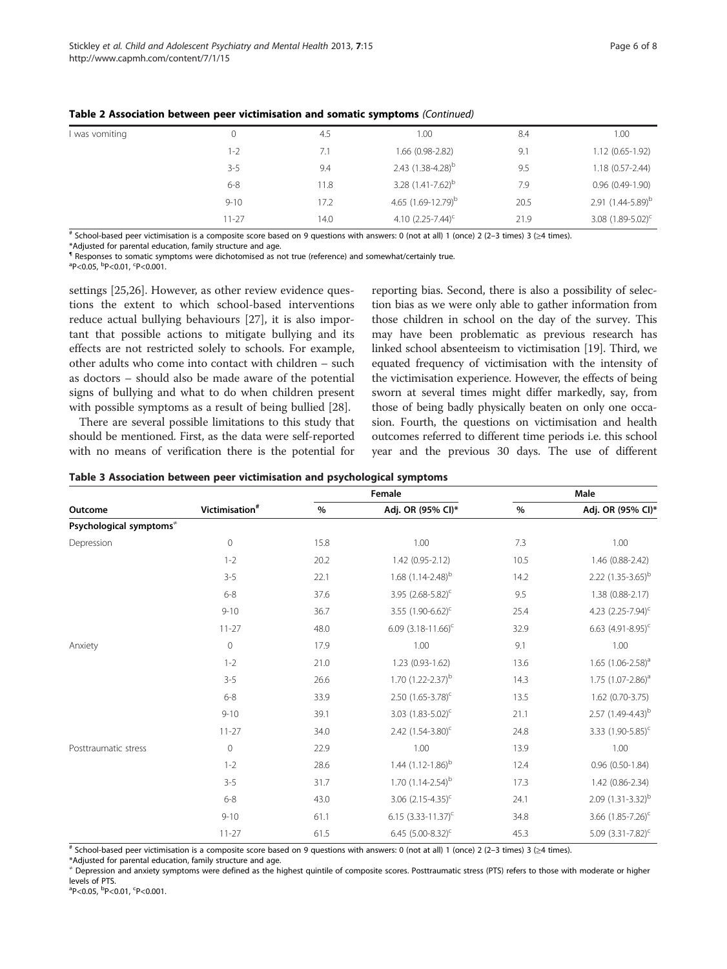| I was vomiting | 0         | 4.5  | 1.00                     | 8.4  | 1.00                     |
|----------------|-----------|------|--------------------------|------|--------------------------|
|                | $1 - 2$   | 7.1  | $1.66(0.98-2.82)$        | 9.1  | $1.12(0.65-1.92)$        |
|                | $3 - 5$   | 9.4  | 2.43 $(1.38 - 4.28)^{b}$ | 9.5  | $1.18(0.57 - 2.44)$      |
|                | $6 - 8$   | 11.8 | 3.28 $(1.41 - 7.62)^b$   | 7.9  | $0.96(0.49-1.90)$        |
|                | $9 - 10$  | 17.2 | 4.65 $(1.69 - 12.79)^b$  | 20.5 | 2.91 $(1.44 - 5.89)^b$   |
|                | $11 - 27$ | 14.0 | 4.10 $(2.25 - 7.44)^c$   | 21.9 | 3.08 $(1.89 - 5.02)^{c}$ |

<span id="page-5-0"></span>Table 2 Association between peer victimisation and somatic symptoms (Continued)

# School-based peer victimisation is a composite score based on 9 questions with answers: 0 (not at all) 1 (once) 2 (2–3 times) 3 (≥4 times).

\*Adjusted for parental education, family structure and age.

¶ Responses to somatic symptoms were dichotomised as not true (reference) and somewhat/certainly true. <sup>a</sup>P<0.05, <sup>b</sup>P<0.01, <sup>c</sup>P<0.001.

settings [[25,26\]](#page-7-0). However, as other review evidence questions the extent to which school-based interventions reduce actual bullying behaviours [[27\]](#page-7-0), it is also important that possible actions to mitigate bullying and its effects are not restricted solely to schools. For example, other adults who come into contact with children – such as doctors – should also be made aware of the potential signs of bullying and what to do when children present with possible symptoms as a result of being bullied [\[28](#page-7-0)].

There are several possible limitations to this study that should be mentioned. First, as the data were self-reported with no means of verification there is the potential for

reporting bias. Second, there is also a possibility of selection bias as we were only able to gather information from those children in school on the day of the survey. This may have been problematic as previous research has linked school absenteeism to victimisation [[19](#page-6-0)]. Third, we equated frequency of victimisation with the intensity of the victimisation experience. However, the effects of being sworn at several times might differ markedly, say, from those of being badly physically beaten on only one occasion. Fourth, the questions on victimisation and health outcomes referred to different time periods i.e. this school year and the previous 30 days. The use of different

| Table 3 Association between peer victimisation and psychological symptoms |  |  |  |  |  |
|---------------------------------------------------------------------------|--|--|--|--|--|
|---------------------------------------------------------------------------|--|--|--|--|--|

|                                     |                            | Female        |                                   | Male    |                                 |
|-------------------------------------|----------------------------|---------------|-----------------------------------|---------|---------------------------------|
| Outcome                             | Victimisation <sup>#</sup> | $\frac{0}{0}$ | Adj. OR (95% CI)*                 | $\%$    | Adj. OR (95% CI)*               |
| Psychological symptoms <sup>#</sup> |                            |               |                                   |         |                                 |
| Depression                          | $\mathbf 0$                | 15.8          | 1.00                              | $7.3\,$ | 1.00                            |
|                                     | $1 - 2$                    | 20.2          | 1.42 (0.95-2.12)                  | 10.5    | 1.46 (0.88-2.42)                |
|                                     | $3 - 5$                    | 22.1          | 1.68 $(1.14 - 2.48)^{b}$          | 14.2    | 2.22 $(1.35-3.65)^{b}$          |
|                                     | $6 - 8$                    | 37.6          | 3.95 $(2.68 - 5.82)^c$            | 9.5     | 1.38 (0.88-2.17)                |
|                                     | $9 - 10$                   | 36.7          | 3.55 $(1.90-6.62)^{c}$            | 25.4    | 4.23 $(2.25 - 7.94)^c$          |
|                                     | $11 - 27$                  | 48.0          | 6.09 $(3.18 - 11.66)^{c}$         | 32.9    | 6.63 $(4.91 - 8.95)^c$          |
| Anxiety                             | $\mathbf 0$                | 17.9          | 1.00                              | 9.1     | 1.00                            |
|                                     | $1 - 2$                    | 21.0          | 1.23 (0.93-1.62)                  | 13.6    | 1.65 $(1.06 - 2.58)^a$          |
|                                     | $3 - 5$                    | 26.6          | 1.70 $(1.22 - 2.37)^{b}$          | 14.3    | 1.75 $(1.07 - 2.86)^a$          |
|                                     | $6 - 8$                    | 33.9          | 2.50 $(1.65 - 3.78)^c$            | 13.5    | $1.62(0.70-3.75)$               |
|                                     | $9 - 10$                   | 39.1          | 3.03 $(1.83 - 5.02)^c$            | 21.1    | $2.57$ (1.49-4.43) <sup>b</sup> |
|                                     | $11 - 27$                  | 34.0          | 2.42 $(1.54 - 3.80)$ <sup>c</sup> | 24.8    | 3.33 $(1.90 - 5.85)^c$          |
| Posttraumatic stress                | $\mathbf{0}$               | 22.9          | 1.00                              | 13.9    | 1.00                            |
|                                     | $1 - 2$                    | 28.6          | 1.44 $(1.12 - 1.86)^{b}$          | 12.4    | $0.96$ $(0.50-1.84)$            |
|                                     | $3 - 5$                    | 31.7          | 1.70 $(1.14 - 2.54)^{b}$          | 17.3    | 1.42 (0.86-2.34)                |
|                                     | $6 - 8$                    | 43.0          | 3.06 $(2.15 - 4.35)^c$            | 24.1    | 2.09 $(1.31 - 3.32)^{b}$        |
|                                     | $9 - 10$                   | 61.1          | 6.15 $(3.33 - 11.37)^c$           | 34.8    | 3.66 $(1.85 - 7.26)^c$          |
|                                     | $11 - 27$                  | 61.5          | 6.45 $(5.00-8.32)^{c}$            | 45.3    | 5.09 $(3.31 - 7.82)^c$          |

# School-based peer victimisation is a composite score based on 9 questions with answers: 0 (not at all) 1 (once) 2 (2–3 times) 3 (≥4 times).

\*Adjusted for parental education, family structure and age.

<sup>≠</sup> Depression and anxiety symptoms were defined as the highest quintile of composite scores. Posttraumatic stress (PTS) refers to those with moderate or higher levels of PTS.

<sup>a</sup>P<0.05, <sup>b</sup>P<0.01, <sup>c</sup>P<0.001.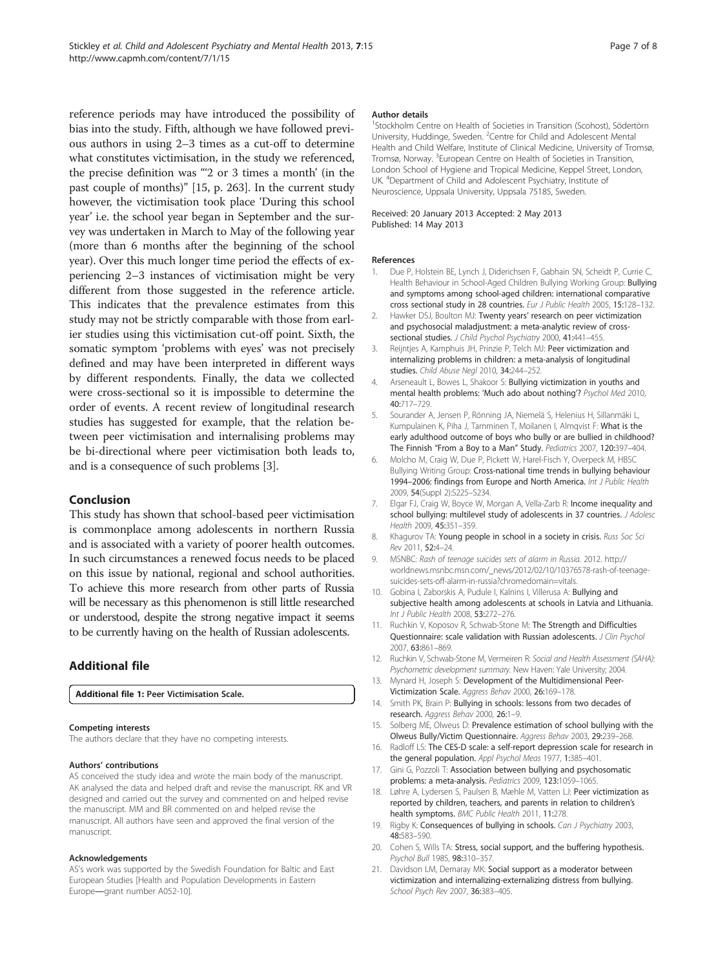<span id="page-6-0"></span>reference periods may have introduced the possibility of bias into the study. Fifth, although we have followed previous authors in using 2–3 times as a cut-off to determine what constitutes victimisation, in the study we referenced, the precise definition was "'2 or 3 times a month' (in the past couple of months)" [15, p. 263]. In the current study however, the victimisation took place 'During this school year' i.e. the school year began in September and the survey was undertaken in March to May of the following year (more than 6 months after the beginning of the school year). Over this much longer time period the effects of experiencing 2–3 instances of victimisation might be very different from those suggested in the reference article. This indicates that the prevalence estimates from this study may not be strictly comparable with those from earlier studies using this victimisation cut-off point. Sixth, the somatic symptom 'problems with eyes' was not precisely defined and may have been interpreted in different ways by different respondents. Finally, the data we collected were cross-sectional so it is impossible to determine the order of events. A recent review of longitudinal research studies has suggested for example, that the relation between peer victimisation and internalising problems may be bi-directional where peer victimisation both leads to, and is a consequence of such problems [3].

#### Conclusion

This study has shown that school-based peer victimisation is commonplace among adolescents in northern Russia and is associated with a variety of poorer health outcomes. In such circumstances a renewed focus needs to be placed on this issue by national, regional and school authorities. To achieve this more research from other parts of Russia will be necessary as this phenomenon is still little researched or understood, despite the strong negative impact it seems to be currently having on the health of Russian adolescents.

## Additional file

[Additional file 1:](http://www.biomedcentral.com/content/supplementary/1753-2000-7-15-S1.pdf) Peer Victimisation Scale.

#### Competing interests

The authors declare that they have no competing interests.

#### Authors' contributions

AS conceived the study idea and wrote the main body of the manuscript. AK analysed the data and helped draft and revise the manuscript. RK and VR designed and carried out the survey and commented on and helped revise the manuscript. MM and BR commented on and helped revise the manuscript. All authors have seen and approved the final version of the manuscript.

#### Acknowledgements

AS's work was supported by the Swedish Foundation for Baltic and East European Studies [Health and Population Developments in Eastern Europe―grant number A052-10].

#### Author details

1 Stockholm Centre on Health of Societies in Transition (Scohost), Södertörn University, Huddinge, Sweden. <sup>2</sup> Centre for Child and Adolescent Mental Health and Child Welfare, Institute of Clinical Medicine, University of Tromsø, Tromsø, Norway. <sup>3</sup>European Centre on Health of Societies in Transition, London School of Hygiene and Tropical Medicine, Keppel Street, London, UK. <sup>4</sup>Department of Child and Adolescent Psychiatry, Institute of Neuroscience, Uppsala University, Uppsala 75185, Sweden.

#### Received: 20 January 2013 Accepted: 2 May 2013 Published: 14 May 2013

#### References

- 1. Due P, Holstein BE, Lynch J, Diderichsen F, Gabhain SN, Scheidt P, Currie C, Health Behaviour in School-Aged Children Bullying Working Group: Bullying and symptoms among school-aged children: international comparative cross sectional study in 28 countries. Eur J Public Health 2005, 15:128–132.
- 2. Hawker DSJ, Boulton MJ: Twenty years' research on peer victimization and psychosocial maladjustment: a meta-analytic review of crosssectional studies. J Child Psychol Psychiatry 2000, 41:441-455.
- 3. Reijntjes A, Kamphuis JH, Prinzie P, Telch MJ: Peer victimization and internalizing problems in children: a meta-analysis of longitudinal studies. Child Abuse Negl 2010, 34:244-252.
- 4. Arseneault L, Bowes L, Shakoor S: Bullying victimization in youths and mental health problems: 'Much ado about nothing'? Psychol Med 2010, 40:717–729.
- 5. Sourander A, Jensen P, Rönning JA, Niemelä S, Helenius H, Sillanmäki L, Kumpulainen K, Piha J, Tamminen T, Moilanen I, Almqvist F: What is the early adulthood outcome of boys who bully or are bullied in childhood? The Finnish "From a Boy to a Man" Study. Pediatrics 2007, 120:397–404.
- 6. Molcho M, Craig W, Due P, Pickett W, Harel-Fisch Y, Overpeck M, HBSC Bullying Writing Group: Cross-national time trends in bullying behaviour 1994–2006: findings from Europe and North America. Int J Public Health 2009, 54(Suppl 2):S225–S234.
- 7. Elgar FJ, Craig W, Boyce W, Morgan A, Vella-Zarb R: Income inequality and school bullying: multilevel study of adolescents in 37 countries. J Adolesc Health 2009, 45:351–359.
- 8. Khagurov TA: Young people in school in a society in crisis. Russ Soc Sci Rev 2011, 52:4–24.
- 9. MSNBC: Rash of teenage suicides sets of alarm in Russia. 2012. [http://](http://worldnews.msnbc.msn.com/_news/2012/02/10/10376578-rash-of-teenage-suicides-sets-off-alarm-in-russia?chromedomain=vitals) [worldnews.msnbc.msn.com/\\_news/2012/02/10/10376578-rash-of-teenage](http://worldnews.msnbc.msn.com/_news/2012/02/10/10376578-rash-of-teenage-suicides-sets-off-alarm-in-russia?chromedomain=vitals)[suicides-sets-off-alarm-in-russia?chromedomain=vitals.](http://worldnews.msnbc.msn.com/_news/2012/02/10/10376578-rash-of-teenage-suicides-sets-off-alarm-in-russia?chromedomain=vitals)
- 10. Gobina I, Zaborskis A, Pudule I, Kalnins I, Villerusa A: Bullying and subjective health among adolescents at schools in Latvia and Lithuania. Int J Public Health 2008, 53:272–276.
- 11. Ruchkin V, Koposov R, Schwab-Stone M: The Strength and Difficulties Questionnaire: scale validation with Russian adolescents. J Clin Psychol 2007, 63:861–869.
- 12. Ruchkin V, Schwab-Stone M, Vermeiren R: Social and Health Assessment (SAHA): Psychometric development summary. New Haven: Yale University; 2004.
- 13. Mynard H, Joseph S: Development of the Multidimensional Peer-Victimization Scale. Aggress Behav 2000, 26:169–178.
- 14. Smith PK, Brain P: Bullying in schools: lessons from two decades of research. Aggress Behav 2000, 26:1–9.
- 15. Solberg ME, Olweus D: Prevalence estimation of school bullying with the Olweus Bully/Victim Questionnaire. Aggress Behav 2003, 29:239–268.
- 16. Radloff LS: The CES-D scale: a self-report depression scale for research in the general population. Appl Psychol Meas 1977, 1:385-401.
- 17. Gini G, Pozzoli T: Association between bullying and psychosomatic problems: a meta-analysis. Pediatrics 2009, 123:1059–1065.
- 18. Løhre A, Lydersen S, Paulsen B, Mæhle M, Vatten LJ: Peer victimization as reported by children, teachers, and parents in relation to children's health symptoms. BMC Public Health 2011, 11:278.
- 19. Rigby K: Consequences of bullying in schools. Can J Psychiatry 2003, 48:583–590.
- 20. Cohen S, Wills TA: Stress, social support, and the buffering hypothesis. Psychol Bull 1985, 98:310–357.
- 21. Davidson LM, Demaray MK: Social support as a moderator between victimization and internalizing-externalizing distress from bullying. School Psych Rev 2007, 36:383–405.